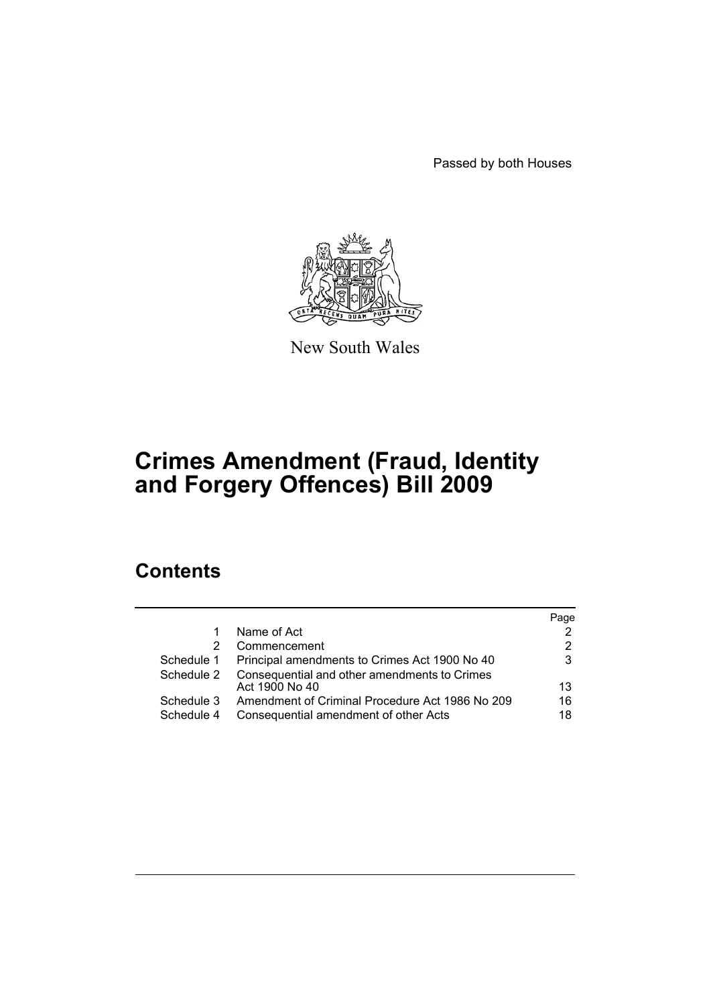Passed by both Houses



New South Wales

# **Crimes Amendment (Fraud, Identity and Forgery Offences) Bill 2009**

# **Contents**

|            |                                                 | Page |
|------------|-------------------------------------------------|------|
|            | Name of Act                                     |      |
| 2          | Commencement                                    | 2    |
| Schedule 1 | Principal amendments to Crimes Act 1900 No 40   | 3    |
| Schedule 2 | Consequential and other amendments to Crimes    |      |
|            | Act 1900 No 40                                  | 13   |
| Schedule 3 | Amendment of Criminal Procedure Act 1986 No 209 | 16   |
| Schedule 4 | Consequential amendment of other Acts           | 18   |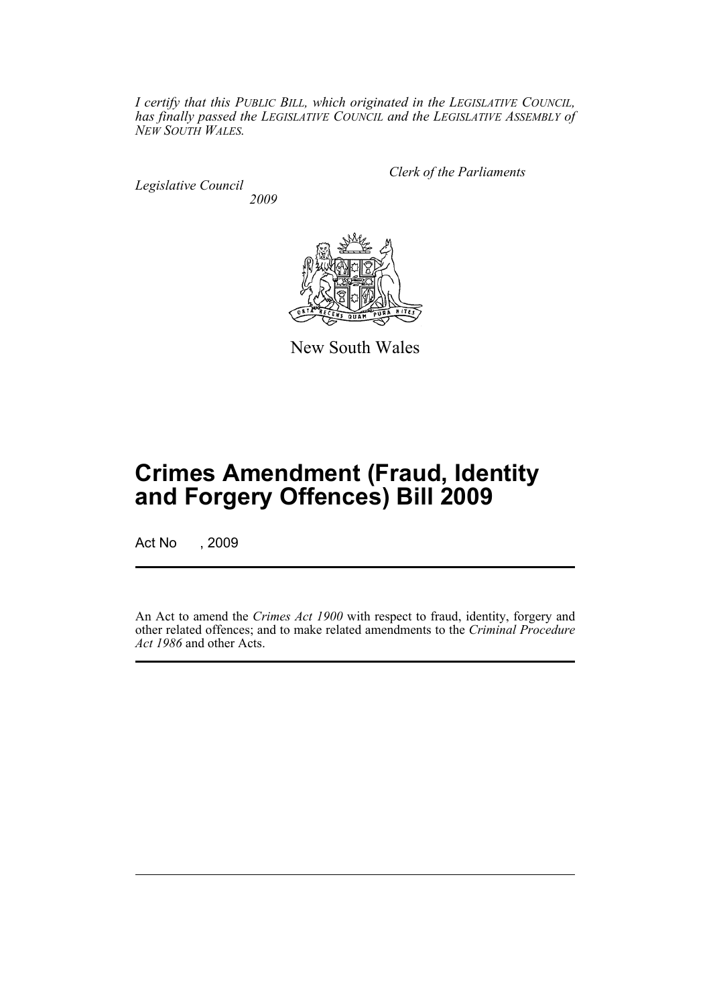*I certify that this PUBLIC BILL, which originated in the LEGISLATIVE COUNCIL, has finally passed the LEGISLATIVE COUNCIL and the LEGISLATIVE ASSEMBLY of NEW SOUTH WALES.*

*Legislative Council 2009* *Clerk of the Parliaments*



New South Wales

# **Crimes Amendment (Fraud, Identity and Forgery Offences) Bill 2009**

Act No , 2009

An Act to amend the *Crimes Act 1900* with respect to fraud, identity, forgery and other related offences; and to make related amendments to the *Criminal Procedure Act 1986* and other Acts.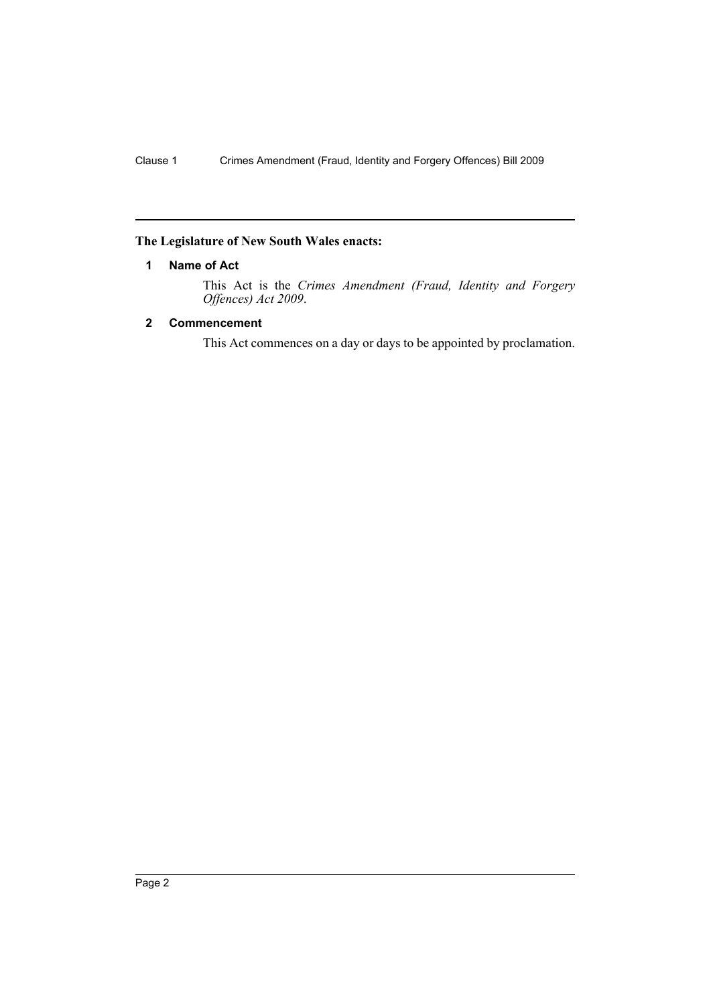### <span id="page-3-0"></span>**The Legislature of New South Wales enacts:**

### **1 Name of Act**

This Act is the *Crimes Amendment (Fraud, Identity and Forgery Offences) Act 2009*.

### <span id="page-3-1"></span>**2 Commencement**

This Act commences on a day or days to be appointed by proclamation.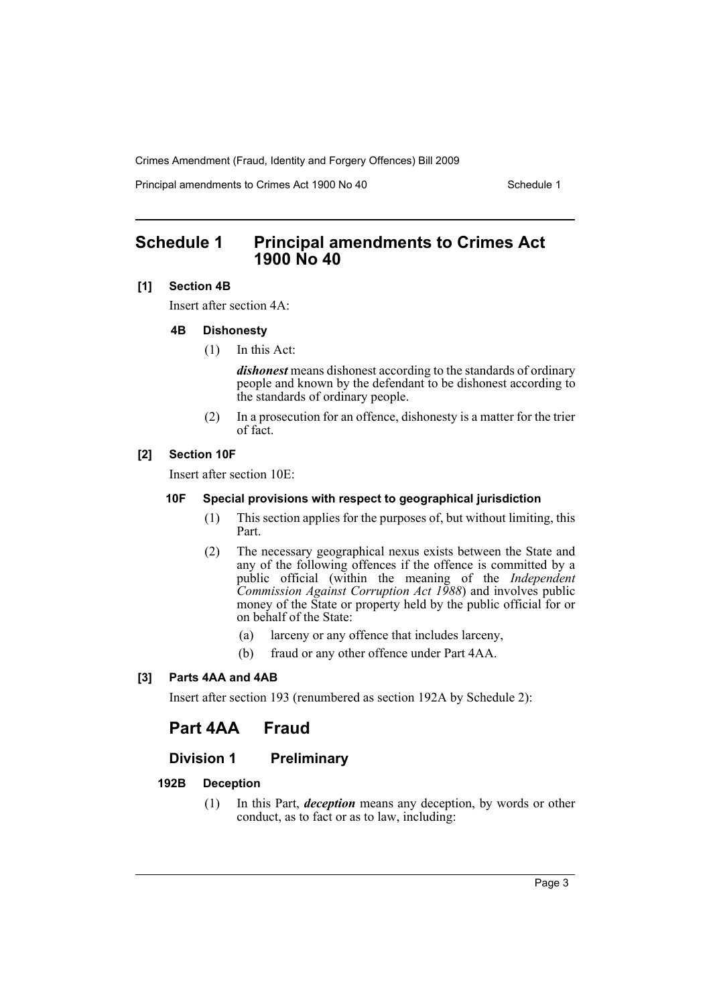Principal amendments to Crimes Act 1900 No 40 Schedule 1

# <span id="page-4-0"></span>**Schedule 1 Principal amendments to Crimes Act 1900 No 40**

### **[1] Section 4B**

Insert after section 4A:

### **4B Dishonesty**

(1) In this Act:

*dishonest* means dishonest according to the standards of ordinary people and known by the defendant to be dishonest according to the standards of ordinary people.

(2) In a prosecution for an offence, dishonesty is a matter for the trier of fact.

### **[2] Section 10F**

Insert after section 10E:

### **10F Special provisions with respect to geographical jurisdiction**

- (1) This section applies for the purposes of, but without limiting, this Part.
- (2) The necessary geographical nexus exists between the State and any of the following offences if the offence is committed by a public official (within the meaning of the *Independent Commission Against Corruption Act 1988*) and involves public money of the State or property held by the public official for or on behalf of the State:
	- (a) larceny or any offence that includes larceny,
	- (b) fraud or any other offence under Part 4AA.

### **[3] Parts 4AA and 4AB**

Insert after section 193 (renumbered as section 192A by Schedule 2):

# **Part 4AA Fraud**

### **Division 1 Preliminary**

### **192B Deception**

(1) In this Part, *deception* means any deception, by words or other conduct, as to fact or as to law, including: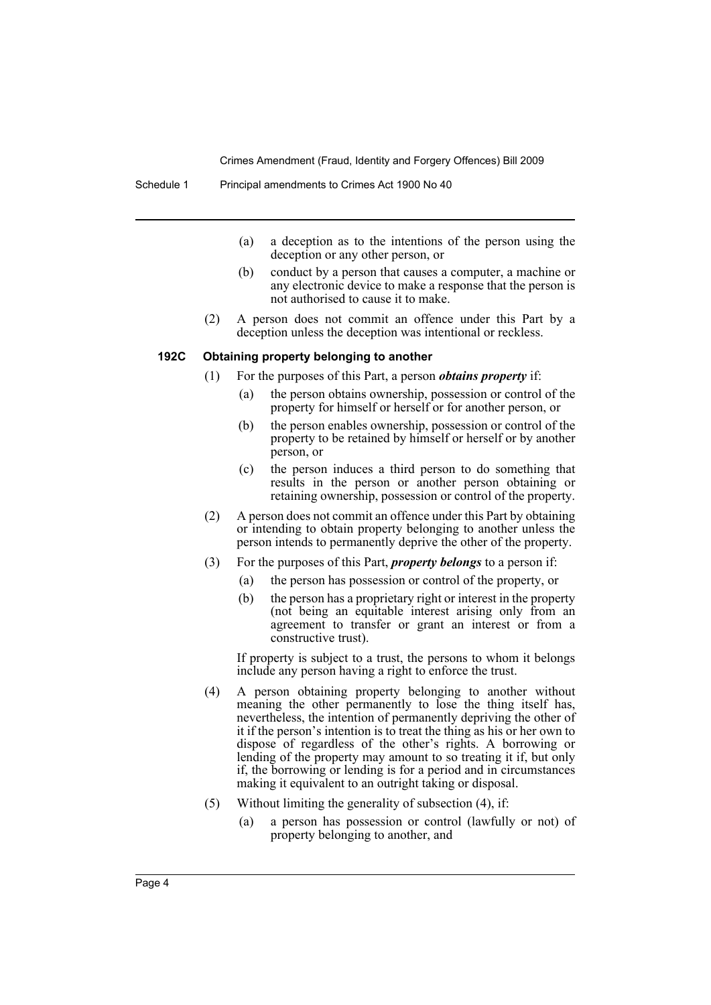- (a) a deception as to the intentions of the person using the deception or any other person, or
- (b) conduct by a person that causes a computer, a machine or any electronic device to make a response that the person is not authorised to cause it to make.
- (2) A person does not commit an offence under this Part by a deception unless the deception was intentional or reckless.

#### **192C Obtaining property belonging to another**

- (1) For the purposes of this Part, a person *obtains property* if:
	- (a) the person obtains ownership, possession or control of the property for himself or herself or for another person, or
	- (b) the person enables ownership, possession or control of the property to be retained by himself or herself or by another person, or
	- (c) the person induces a third person to do something that results in the person or another person obtaining or retaining ownership, possession or control of the property.
- (2) A person does not commit an offence under this Part by obtaining or intending to obtain property belonging to another unless the person intends to permanently deprive the other of the property.
- (3) For the purposes of this Part, *property belongs* to a person if:
	- (a) the person has possession or control of the property, or
	- (b) the person has a proprietary right or interest in the property (not being an equitable interest arising only from an agreement to transfer or grant an interest or from a constructive trust).

If property is subject to a trust, the persons to whom it belongs include any person having a right to enforce the trust.

- (4) A person obtaining property belonging to another without meaning the other permanently to lose the thing itself has, nevertheless, the intention of permanently depriving the other of it if the person's intention is to treat the thing as his or her own to dispose of regardless of the other's rights. A borrowing or lending of the property may amount to so treating it if, but only if, the borrowing or lending is for a period and in circumstances making it equivalent to an outright taking or disposal.
- (5) Without limiting the generality of subsection (4), if:
	- (a) a person has possession or control (lawfully or not) of property belonging to another, and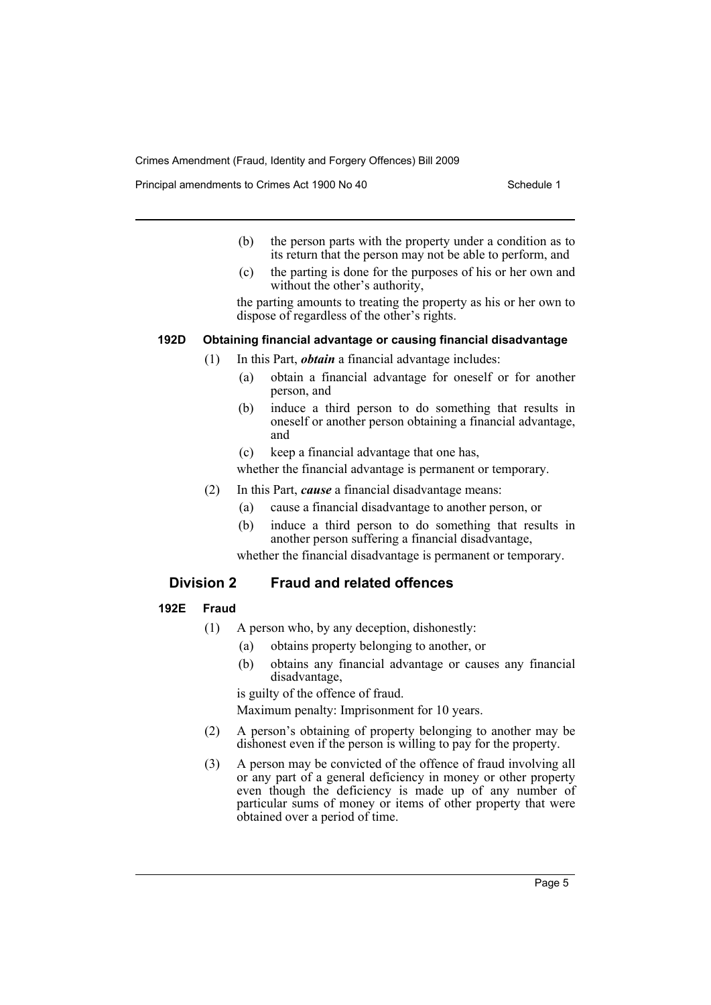Principal amendments to Crimes Act 1900 No 40 Schedule 1

- (b) the person parts with the property under a condition as to its return that the person may not be able to perform, and
- (c) the parting is done for the purposes of his or her own and without the other's authority,

the parting amounts to treating the property as his or her own to dispose of regardless of the other's rights.

### **192D Obtaining financial advantage or causing financial disadvantage**

- (1) In this Part, *obtain* a financial advantage includes:
	- (a) obtain a financial advantage for oneself or for another person, and
	- (b) induce a third person to do something that results in oneself or another person obtaining a financial advantage, and
	- (c) keep a financial advantage that one has,

whether the financial advantage is permanent or temporary.

- (2) In this Part, *cause* a financial disadvantage means:
	- (a) cause a financial disadvantage to another person, or
	- (b) induce a third person to do something that results in another person suffering a financial disadvantage,

whether the financial disadvantage is permanent or temporary.

### **Division 2 Fraud and related offences**

### **192E Fraud**

- (1) A person who, by any deception, dishonestly:
	- (a) obtains property belonging to another, or
	- (b) obtains any financial advantage or causes any financial disadvantage,

is guilty of the offence of fraud.

Maximum penalty: Imprisonment for 10 years.

- (2) A person's obtaining of property belonging to another may be dishonest even if the person is willing to pay for the property.
- (3) A person may be convicted of the offence of fraud involving all or any part of a general deficiency in money or other property even though the deficiency is made up of any number of particular sums of money or items of other property that were obtained over a period of time.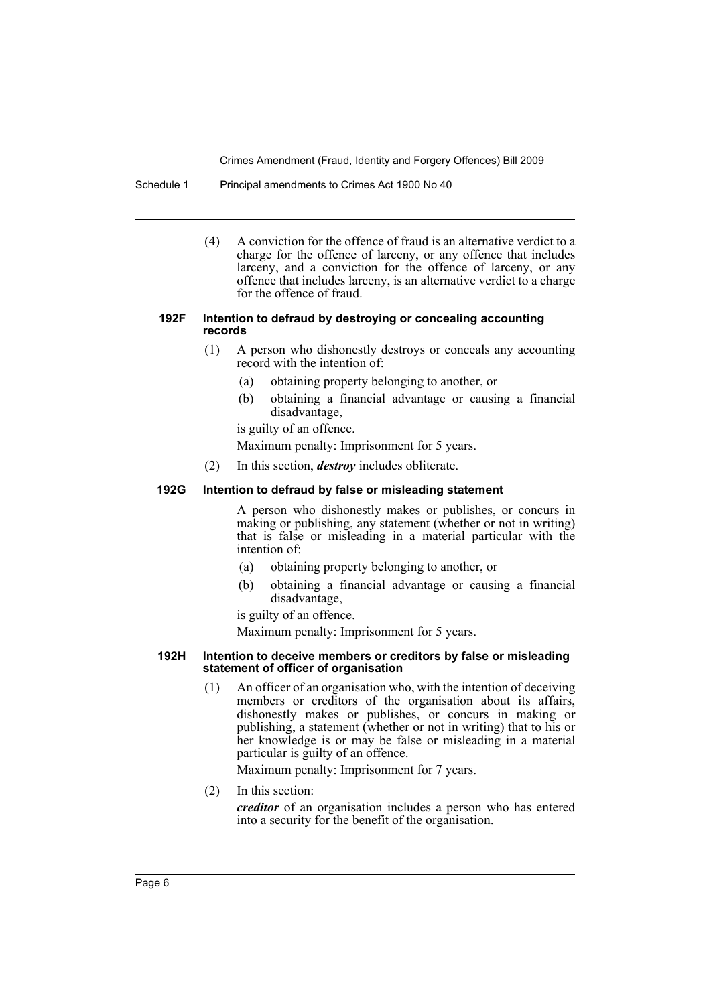#### Schedule 1 Principal amendments to Crimes Act 1900 No 40

(4) A conviction for the offence of fraud is an alternative verdict to a charge for the offence of larceny, or any offence that includes larceny, and a conviction for the offence of larceny, or any offence that includes larceny, is an alternative verdict to a charge for the offence of fraud.

#### **192F Intention to defraud by destroying or concealing accounting records**

- (1) A person who dishonestly destroys or conceals any accounting record with the intention of:
	- (a) obtaining property belonging to another, or
	- (b) obtaining a financial advantage or causing a financial disadvantage,
	- is guilty of an offence.

Maximum penalty: Imprisonment for 5 years.

(2) In this section, *destroy* includes obliterate.

### **192G Intention to defraud by false or misleading statement**

A person who dishonestly makes or publishes, or concurs in making or publishing, any statement (whether or not in writing) that is false or misleading in a material particular with the intention of:

- (a) obtaining property belonging to another, or
- (b) obtaining a financial advantage or causing a financial disadvantage,

is guilty of an offence.

Maximum penalty: Imprisonment for 5 years.

#### **192H Intention to deceive members or creditors by false or misleading statement of officer of organisation**

(1) An officer of an organisation who, with the intention of deceiving members or creditors of the organisation about its affairs, dishonestly makes or publishes, or concurs in making or publishing, a statement (whether or not in writing) that to his or her knowledge is or may be false or misleading in a material particular is guilty of an offence.

Maximum penalty: Imprisonment for 7 years.

(2) In this section: *creditor* of an organisation includes a person who has entered into a security for the benefit of the organisation.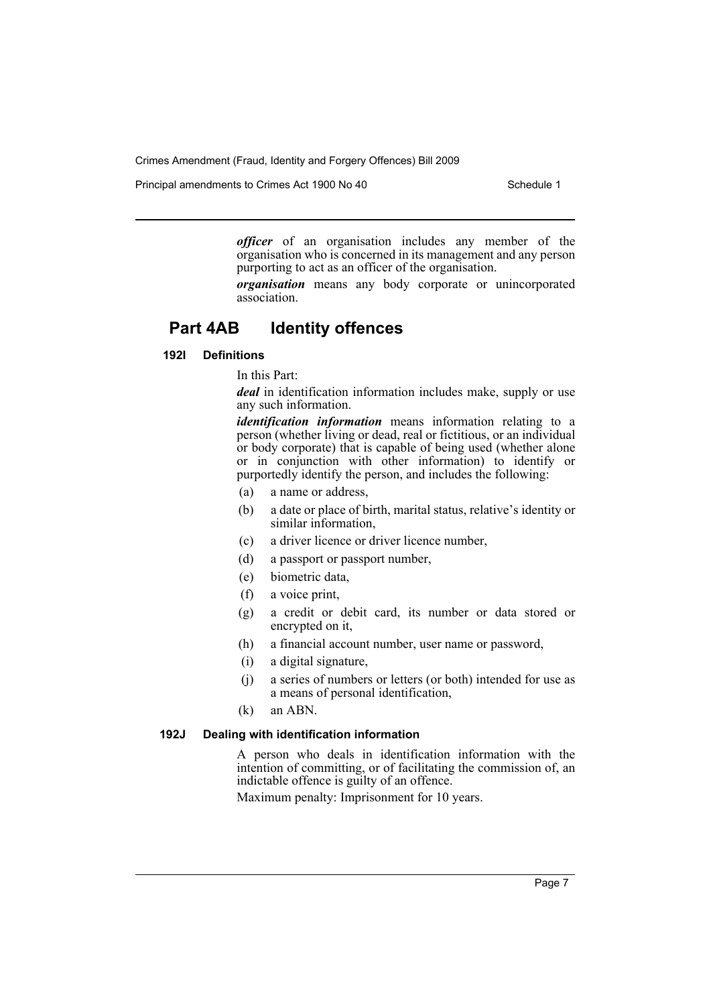Principal amendments to Crimes Act 1900 No 40 Schedule 1

*officer* of an organisation includes any member of the organisation who is concerned in its management and any person purporting to act as an officer of the organisation.

*organisation* means any body corporate or unincorporated association.

# **Part 4AB Identity offences**

### **192I Definitions**

In this Part:

*deal* in identification information includes make, supply or use any such information.

*identification information* means information relating to a person (whether living or dead, real or fictitious, or an individual or body corporate) that is capable of being used (whether alone or in conjunction with other information) to identify or purportedly identify the person, and includes the following:

- (a) a name or address,
- (b) a date or place of birth, marital status, relative's identity or similar information,
- (c) a driver licence or driver licence number,
- (d) a passport or passport number,
- (e) biometric data,
- (f) a voice print,
- (g) a credit or debit card, its number or data stored or encrypted on it,
- (h) a financial account number, user name or password,
- (i) a digital signature,
- (j) a series of numbers or letters (or both) intended for use as a means of personal identification,
- (k) an ABN.

### **192J Dealing with identification information**

A person who deals in identification information with the intention of committing, or of facilitating the commission of, an indictable offence is guilty of an offence.

Maximum penalty: Imprisonment for 10 years.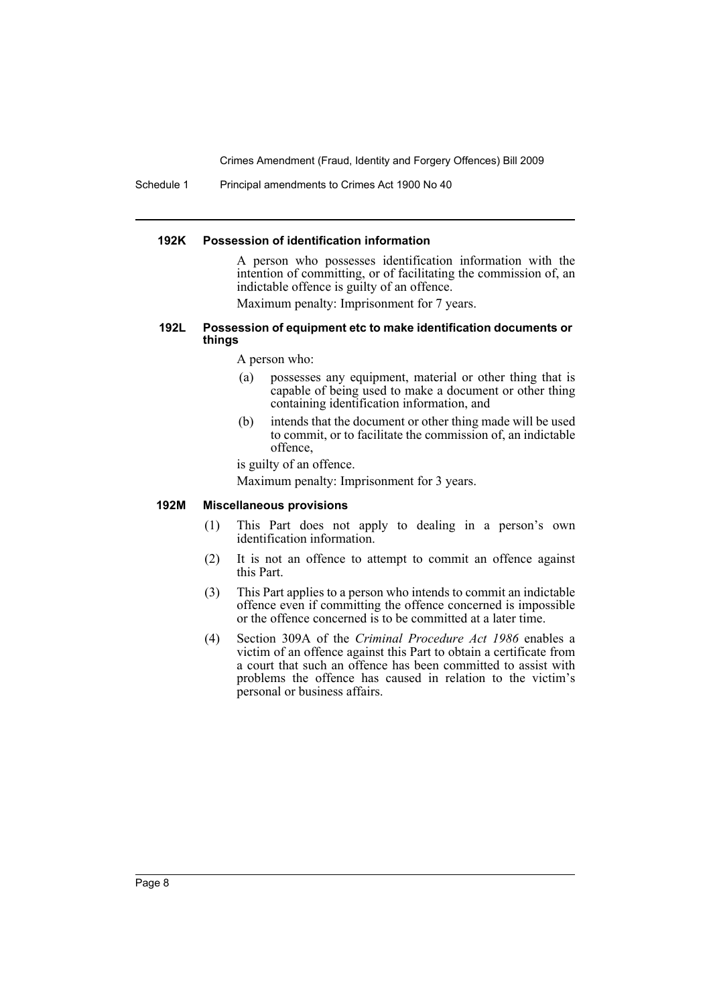Schedule 1 Principal amendments to Crimes Act 1900 No 40

#### **192K Possession of identification information**

A person who possesses identification information with the intention of committing, or of facilitating the commission of, an indictable offence is guilty of an offence.

Maximum penalty: Imprisonment for 7 years.

#### **192L Possession of equipment etc to make identification documents or things**

A person who:

- (a) possesses any equipment, material or other thing that is capable of being used to make a document or other thing containing identification information, and
- (b) intends that the document or other thing made will be used to commit, or to facilitate the commission of, an indictable offence,

is guilty of an offence.

Maximum penalty: Imprisonment for 3 years.

#### **192M Miscellaneous provisions**

- (1) This Part does not apply to dealing in a person's own identification information.
- (2) It is not an offence to attempt to commit an offence against this Part.
- (3) This Part applies to a person who intends to commit an indictable offence even if committing the offence concerned is impossible or the offence concerned is to be committed at a later time.
- (4) Section 309A of the *Criminal Procedure Act 1986* enables a victim of an offence against this Part to obtain a certificate from a court that such an offence has been committed to assist with problems the offence has caused in relation to the victim's personal or business affairs.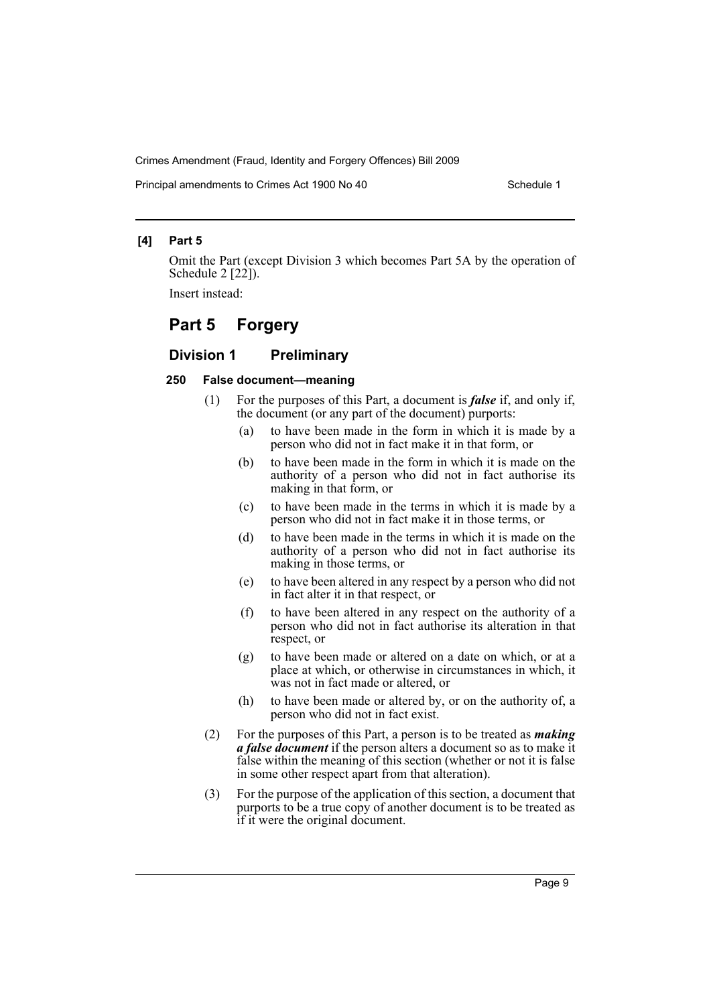Principal amendments to Crimes Act 1900 No 40 Schedule 1

### **[4] Part 5**

Omit the Part (except Division 3 which becomes Part 5A by the operation of Schedule  $2$  [22]).

Insert instead:

### **Part 5 Forgery**

### **Division 1 Preliminary**

#### **250 False document—meaning**

- (1) For the purposes of this Part, a document is *false* if, and only if, the document (or any part of the document) purports:
	- (a) to have been made in the form in which it is made by a person who did not in fact make it in that form, or
	- (b) to have been made in the form in which it is made on the authority of a person who did not in fact authorise its making in that form, or
	- (c) to have been made in the terms in which it is made by a person who did not in fact make it in those terms, or
	- (d) to have been made in the terms in which it is made on the authority of a person who did not in fact authorise its making in those terms, or
	- (e) to have been altered in any respect by a person who did not in fact alter it in that respect, or
	- (f) to have been altered in any respect on the authority of a person who did not in fact authorise its alteration in that respect, or
	- (g) to have been made or altered on a date on which, or at a place at which, or otherwise in circumstances in which, it was not in fact made or altered, or
	- (h) to have been made or altered by, or on the authority of, a person who did not in fact exist.
- (2) For the purposes of this Part, a person is to be treated as *making a false document* if the person alters a document so as to make it false within the meaning of this section (whether or not it is false in some other respect apart from that alteration).
- (3) For the purpose of the application of this section, a document that purports to be a true copy of another document is to be treated as if it were the original document.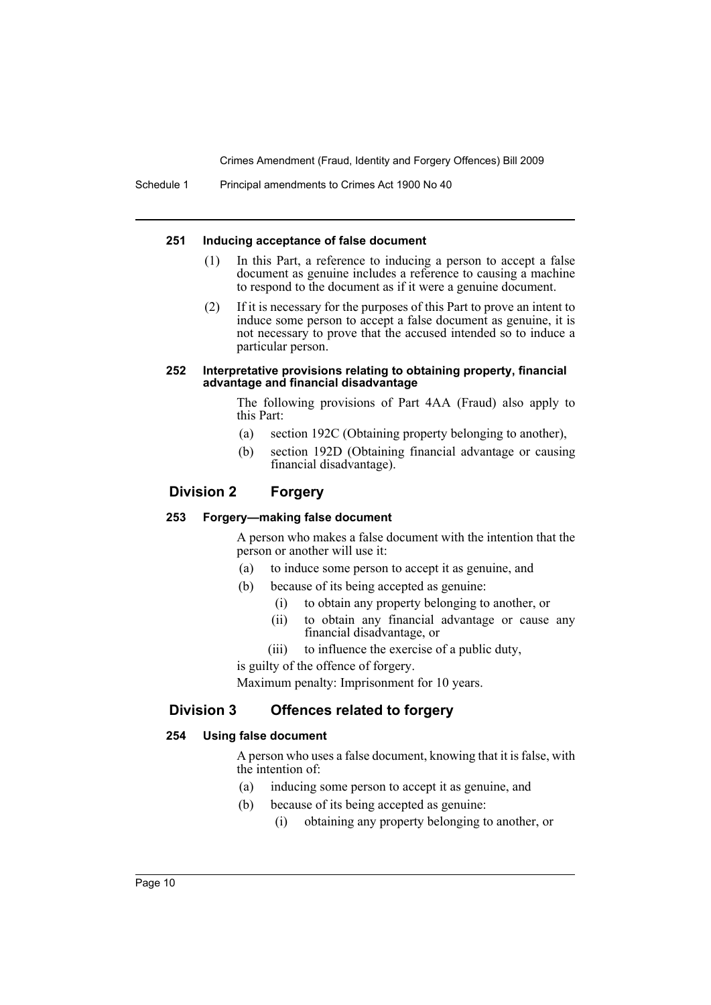Schedule 1 Principal amendments to Crimes Act 1900 No 40

### **251 Inducing acceptance of false document**

- (1) In this Part, a reference to inducing a person to accept a false document as genuine includes a reference to causing a machine to respond to the document as if it were a genuine document.
- (2) If it is necessary for the purposes of this Part to prove an intent to induce some person to accept a false document as genuine, it is not necessary to prove that the accused intended so to induce a particular person.

#### **252 Interpretative provisions relating to obtaining property, financial advantage and financial disadvantage**

The following provisions of Part 4AA (Fraud) also apply to this Part:

- (a) section 192C (Obtaining property belonging to another),
- (b) section 192D (Obtaining financial advantage or causing financial disadvantage).

### **Division 2 Forgery**

### **253 Forgery—making false document**

A person who makes a false document with the intention that the person or another will use it:

- (a) to induce some person to accept it as genuine, and
- (b) because of its being accepted as genuine:
	- (i) to obtain any property belonging to another, or
	- (ii) to obtain any financial advantage or cause any financial disadvantage, or
	- (iii) to influence the exercise of a public duty,

is guilty of the offence of forgery.

Maximum penalty: Imprisonment for 10 years.

### **Division 3 Offences related to forgery**

### **254 Using false document**

A person who uses a false document, knowing that it is false, with the intention of:

- (a) inducing some person to accept it as genuine, and
- (b) because of its being accepted as genuine:
	- (i) obtaining any property belonging to another, or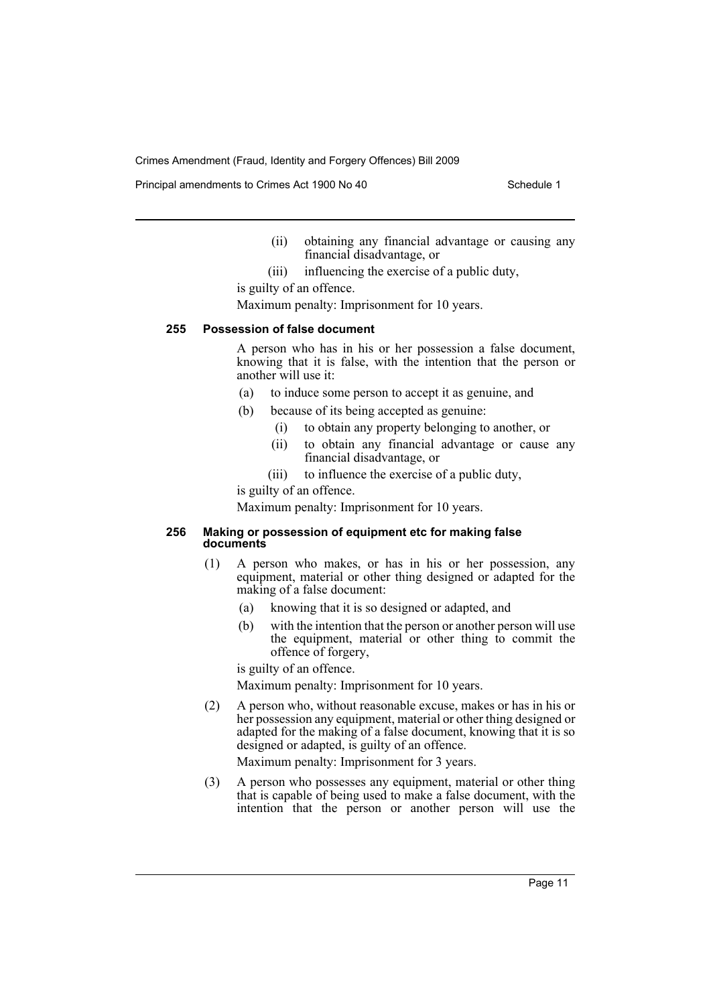Principal amendments to Crimes Act 1900 No 40 Schedule 1

(ii) obtaining any financial advantage or causing any financial disadvantage, or

(iii) influencing the exercise of a public duty,

is guilty of an offence.

Maximum penalty: Imprisonment for 10 years.

### **255 Possession of false document**

A person who has in his or her possession a false document, knowing that it is false, with the intention that the person or another will use it:

- (a) to induce some person to accept it as genuine, and
- (b) because of its being accepted as genuine:
	- (i) to obtain any property belonging to another, or
	- (ii) to obtain any financial advantage or cause any financial disadvantage, or
	- (iii) to influence the exercise of a public duty,

is guilty of an offence.

Maximum penalty: Imprisonment for 10 years.

### **256 Making or possession of equipment etc for making false documents**

- (1) A person who makes, or has in his or her possession, any equipment, material or other thing designed or adapted for the making of a false document:
	- (a) knowing that it is so designed or adapted, and
	- (b) with the intention that the person or another person will use the equipment, material or other thing to commit the offence of forgery,

is guilty of an offence.

Maximum penalty: Imprisonment for 10 years.

(2) A person who, without reasonable excuse, makes or has in his or her possession any equipment, material or other thing designed or adapted for the making of a false document, knowing that it is so designed or adapted, is guilty of an offence.

Maximum penalty: Imprisonment for 3 years.

(3) A person who possesses any equipment, material or other thing that is capable of being used to make a false document, with the intention that the person or another person will use the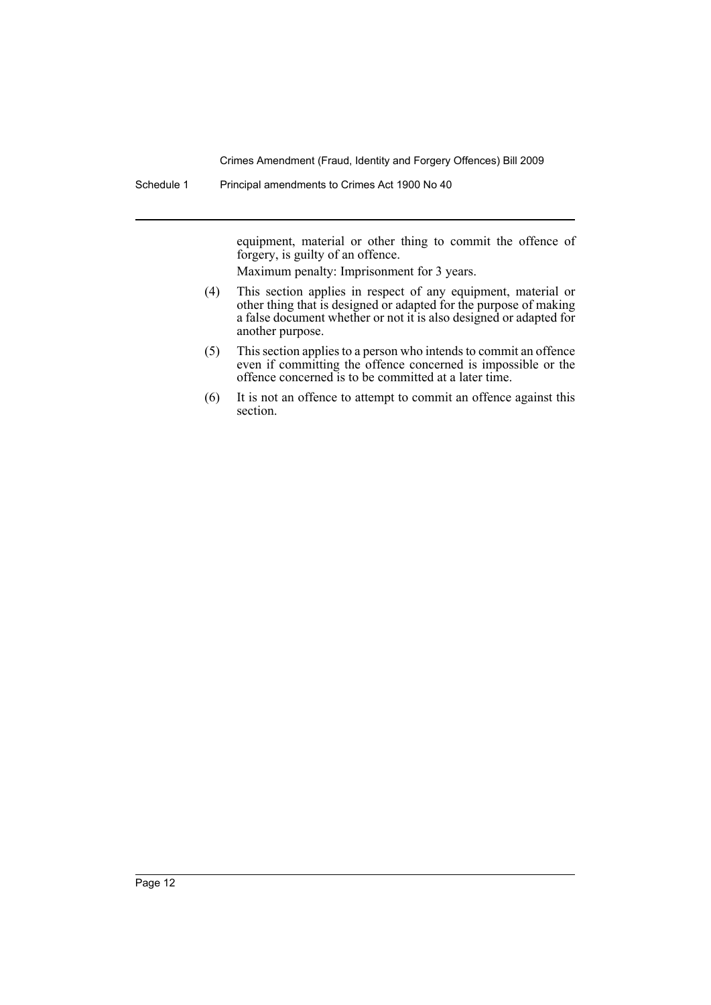Schedule 1 Principal amendments to Crimes Act 1900 No 40

equipment, material or other thing to commit the offence of forgery, is guilty of an offence.

Maximum penalty: Imprisonment for 3 years.

- (4) This section applies in respect of any equipment, material or other thing that is designed or adapted for the purpose of making a false document whether or not it is also designed or adapted for another purpose.
- (5) This section applies to a person who intends to commit an offence even if committing the offence concerned is impossible or the offence concerned is to be committed at a later time.
- (6) It is not an offence to attempt to commit an offence against this section.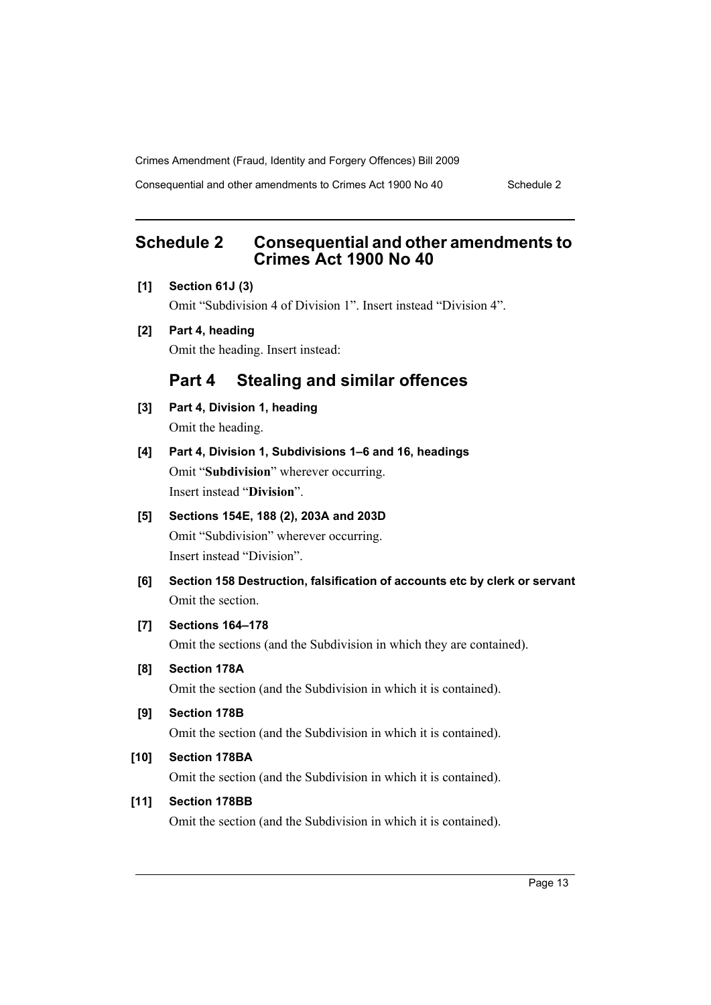Consequential and other amendments to Crimes Act 1900 No 40 Schedule 2

# <span id="page-14-0"></span>**Schedule 2 Consequential and other amendments to Crimes Act 1900 No 40**

**[1] Section 61J (3)**

Omit "Subdivision 4 of Division 1". Insert instead "Division 4".

**[2] Part 4, heading** Omit the heading. Insert instead:

# **Part 4 Stealing and similar offences**

- **[3] Part 4, Division 1, heading** Omit the heading.
- **[4] Part 4, Division 1, Subdivisions 1–6 and 16, headings** Omit "**Subdivision**" wherever occurring. Insert instead "**Division**".

# **[5] Sections 154E, 188 (2), 203A and 203D** Omit "Subdivision" wherever occurring.

Insert instead "Division".

**[6] Section 158 Destruction, falsification of accounts etc by clerk or servant** Omit the section.

### **[7] Sections 164–178**

Omit the sections (and the Subdivision in which they are contained).

**[8] Section 178A**

Omit the section (and the Subdivision in which it is contained).

**[9] Section 178B**

Omit the section (and the Subdivision in which it is contained).

### **[10] Section 178BA**

Omit the section (and the Subdivision in which it is contained).

### **[11] Section 178BB**

Omit the section (and the Subdivision in which it is contained).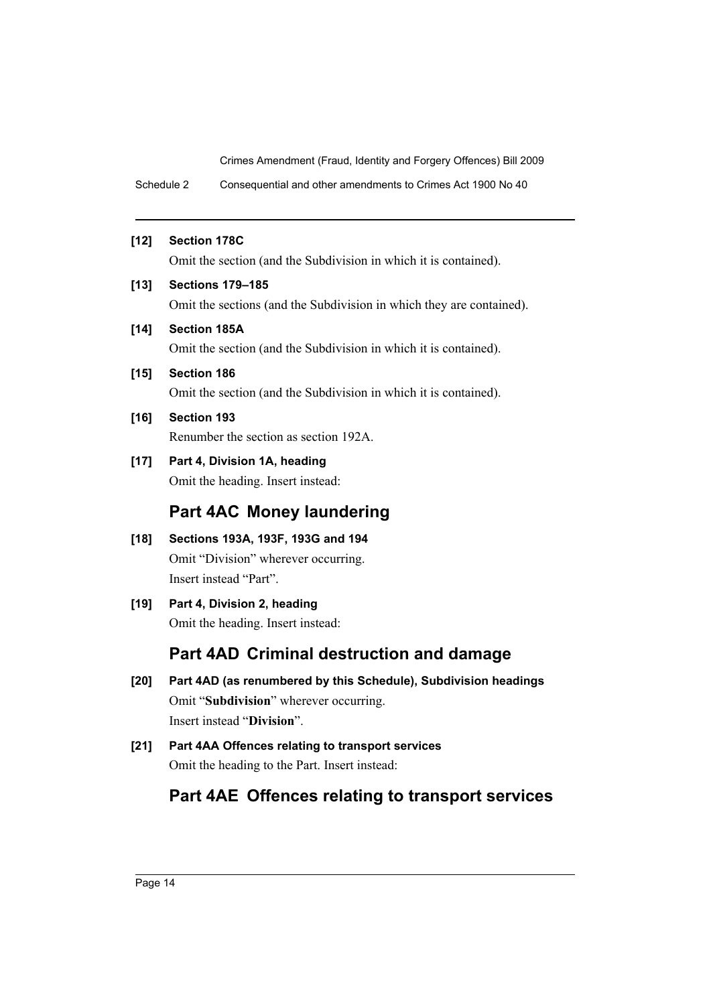Schedule 2 Consequential and other amendments to Crimes Act 1900 No 40

### **[12] Section 178C**

Omit the section (and the Subdivision in which it is contained).

### **[13] Sections 179–185**

Omit the sections (and the Subdivision in which they are contained).

### **[14] Section 185A**

Omit the section (and the Subdivision in which it is contained).

**[15] Section 186**

Omit the section (and the Subdivision in which it is contained).

### **[16] Section 193**

Renumber the section as section 192A.

**[17] Part 4, Division 1A, heading**

Omit the heading. Insert instead:

# **Part 4AC Money laundering**

- **[18] Sections 193A, 193F, 193G and 194** Omit "Division" wherever occurring. Insert instead "Part".
- **[19] Part 4, Division 2, heading** Omit the heading. Insert instead:

# **Part 4AD Criminal destruction and damage**

- **[20] Part 4AD (as renumbered by this Schedule), Subdivision headings** Omit "**Subdivision**" wherever occurring. Insert instead "**Division**".
- **[21] Part 4AA Offences relating to transport services** Omit the heading to the Part. Insert instead:

# **Part 4AE Offences relating to transport services**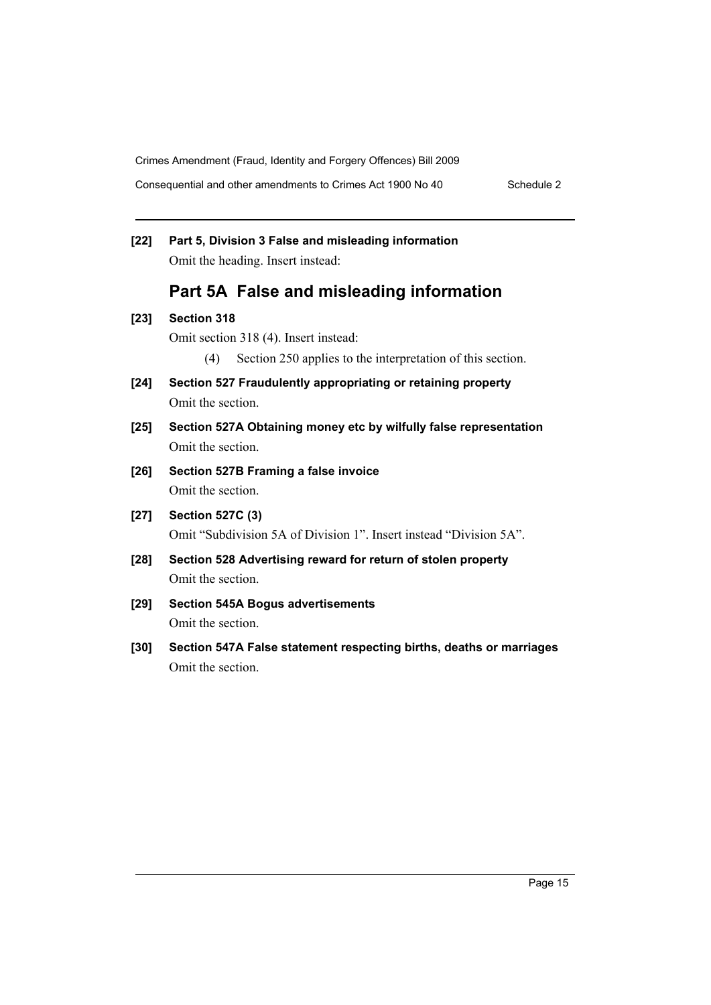Consequential and other amendments to Crimes Act 1900 No 40 Schedule 2

| $[22]$ | Part 5, Division 3 False and misleading information<br>Omit the heading. Insert instead:                                         |  |
|--------|----------------------------------------------------------------------------------------------------------------------------------|--|
|        | Part 5A False and misleading information                                                                                         |  |
| $[23]$ | <b>Section 318</b><br>Omit section 318 (4). Insert instead:<br>Section 250 applies to the interpretation of this section.<br>(4) |  |
| $[24]$ | Section 527 Fraudulently appropriating or retaining property<br>Omit the section.                                                |  |
| $[25]$ | Section 527A Obtaining money etc by wilfully false representation<br>Omit the section.                                           |  |
| $[26]$ | Section 527B Framing a false invoice<br>Omit the section.                                                                        |  |
| $[27]$ | <b>Section 527C (3)</b><br>Omit "Subdivision 5A of Division 1". Insert instead "Division 5A".                                    |  |
| $[28]$ | Section 528 Advertising reward for return of stolen property<br>Omit the section.                                                |  |
| $[29]$ | <b>Section 545A Bogus advertisements</b><br>Omit the section.                                                                    |  |
| [30]   | Section 547A False statement respecting births, deaths or marriages<br>Omit the section.                                         |  |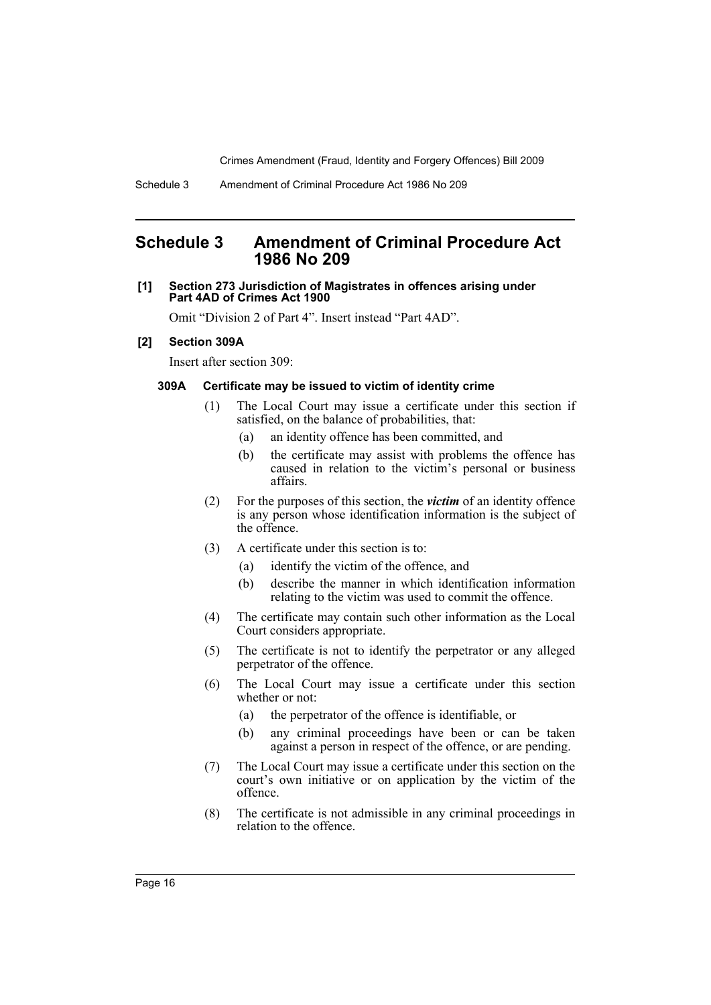### <span id="page-17-0"></span>**Schedule 3 Amendment of Criminal Procedure Act 1986 No 209**

### **[1] Section 273 Jurisdiction of Magistrates in offences arising under Part 4AD of Crimes Act 1900**

Omit "Division 2 of Part 4". Insert instead "Part 4AD".

#### **[2] Section 309A**

Insert after section 309:

### **309A Certificate may be issued to victim of identity crime**

- (1) The Local Court may issue a certificate under this section if satisfied, on the balance of probabilities, that:
	- (a) an identity offence has been committed, and
	- (b) the certificate may assist with problems the offence has caused in relation to the victim's personal or business affairs.
- (2) For the purposes of this section, the *victim* of an identity offence is any person whose identification information is the subject of the offence.
- (3) A certificate under this section is to:
	- (a) identify the victim of the offence, and
	- (b) describe the manner in which identification information relating to the victim was used to commit the offence.
- (4) The certificate may contain such other information as the Local Court considers appropriate.
- (5) The certificate is not to identify the perpetrator or any alleged perpetrator of the offence.
- (6) The Local Court may issue a certificate under this section whether or not:
	- (a) the perpetrator of the offence is identifiable, or
	- (b) any criminal proceedings have been or can be taken against a person in respect of the offence, or are pending.
- (7) The Local Court may issue a certificate under this section on the court's own initiative or on application by the victim of the offence.
- (8) The certificate is not admissible in any criminal proceedings in relation to the offence.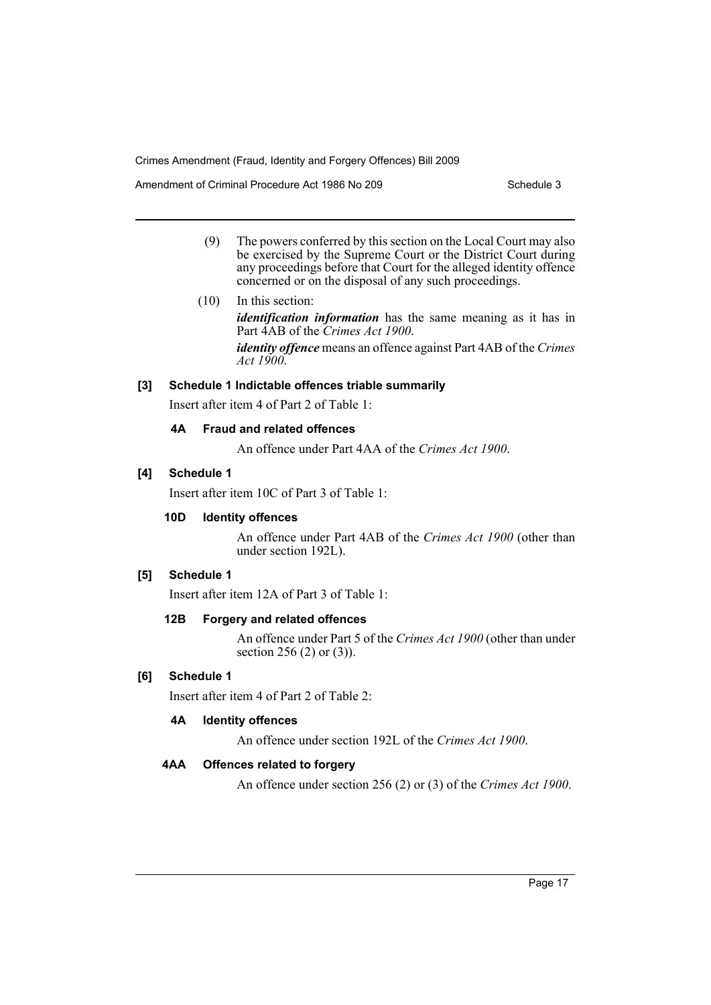Amendment of Criminal Procedure Act 1986 No 209 Schedule 3

- (9) The powers conferred by this section on the Local Court may also be exercised by the Supreme Court or the District Court during any proceedings before that Court for the alleged identity offence concerned or on the disposal of any such proceedings.
- (10) In this section:

*identification information* has the same meaning as it has in Part 4AB of the *Crimes Act 1900*.

*identity offence* means an offence against Part 4AB of the *Crimes Act 1900*.

### **[3] Schedule 1 Indictable offences triable summarily**

Insert after item 4 of Part 2 of Table 1:

### **4A Fraud and related offences**

An offence under Part 4AA of the *Crimes Act 1900*.

### **[4] Schedule 1**

Insert after item 10C of Part 3 of Table 1:

### **10D Identity offences**

An offence under Part 4AB of the *Crimes Act 1900* (other than under section 192L).

### **[5] Schedule 1**

Insert after item 12A of Part 3 of Table 1:

### **12B Forgery and related offences**

An offence under Part 5 of the *Crimes Act 1900* (other than under section 256 (2) or (3)).

### **[6] Schedule 1**

Insert after item 4 of Part 2 of Table 2:

### **4A Identity offences**

An offence under section 192L of the *Crimes Act 1900*.

### **4AA Offences related to forgery**

An offence under section 256 (2) or (3) of the *Crimes Act 1900*.